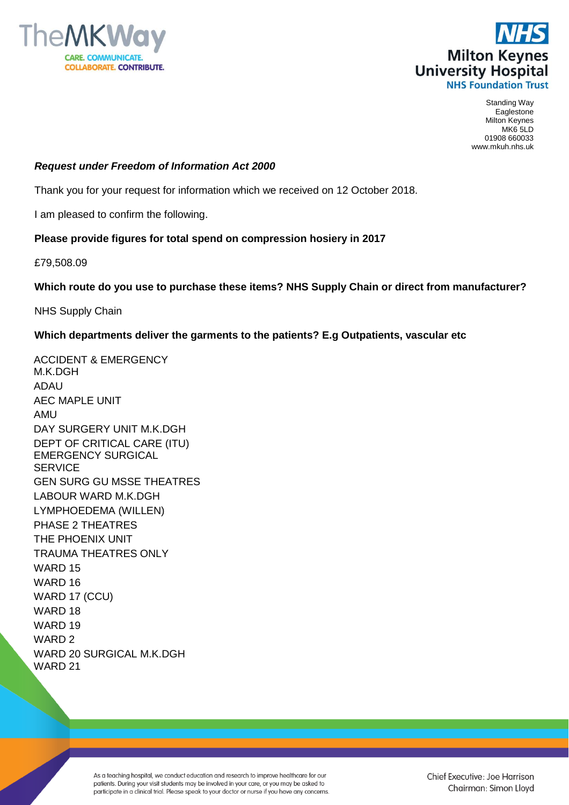



Standing Way Eaglestone Milton Keynes MK6 5LD 01908 660033 www.mkuh.nhs.uk

## *Request under Freedom of Information Act 2000*

Thank you for your request for information which we received on 12 October 2018.

I am pleased to confirm the following.

## **Please provide figures for total spend on compression hosiery in 2017**

£79,508.09

## **Which route do you use to purchase these items? NHS Supply Chain or direct from manufacturer?**

NHS Supply Chain

## **Which departments deliver the garments to the patients? E.g Outpatients, vascular etc**

ACCIDENT & EMERGENCY M.K.DGH ADAU AEC MAPLE UNIT AMU DAY SURGERY UNIT M.K.DGH DEPT OF CRITICAL CARE (ITU) EMERGENCY SURGICAL **SERVICE** GEN SURG GU MSSE THEATRES LABOUR WARD M.K.DGH LYMPHOEDEMA (WILLEN) PHASE 2 THEATRES THE PHOENIX UNIT TRAUMA THEATRES ONLY WARD 15 WARD 16 WARD 17 (CCU) WARD 18 WARD 19 WARD 2 WARD 20 SURGICAL M.K.DGH WARD 21

> As a teaching hospital, we conduct education and research to improve healthcare for our patients. During your visit students may be involved in your care, or you may be asked to participate in a clinical trial. Please speak to your doctor or nurse if you have any concerns.